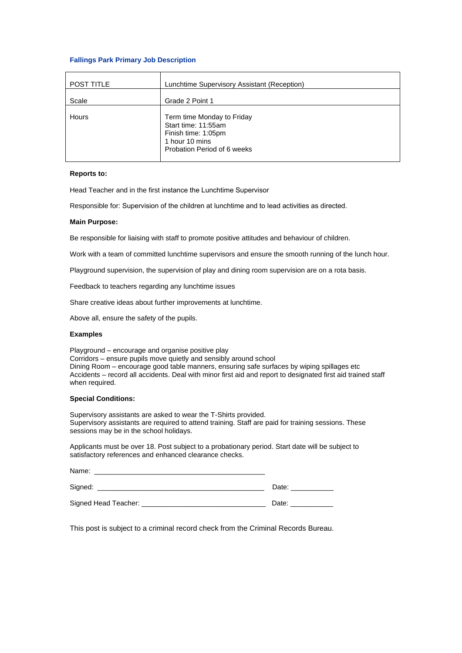## **Fallings Park Primary Job Description**

| <b>POST TITLE</b> | Lunchtime Supervisory Assistant (Reception)                                                                               |  |
|-------------------|---------------------------------------------------------------------------------------------------------------------------|--|
| Scale             | Grade 2 Point 1                                                                                                           |  |
| Hours             | Term time Monday to Friday<br>Start time: 11:55am<br>Finish time: 1:05pm<br>1 hour 10 mins<br>Probation Period of 6 weeks |  |

### **Reports to:**

Head Teacher and in the first instance the Lunchtime Supervisor 

Responsible for: Supervision of the children at lunchtime and to lead activities as directed.  

#### **Main Purpose:**

Be responsible for liaising with staff to promote positive attitudes and behaviour of children.

Work with a team of committed lunchtime supervisors and ensure the smooth running of the lunch hour.

Playground supervision, the supervision of play and dining room supervision are on a rota basis.

Feedback to teachers regarding any lunchtime issues

Share creative ideas about further improvements at lunchtime.

Above all, ensure the safety of the pupils.

#### **Examples**

Playground – encourage and organise positive play Corridors – ensure pupils move quietly and sensibly around school Dining Room – encourage good table manners, ensuring safe surfaces by wiping spillages etc Accidents – record all accidents. Deal with minor first aid and report to designated first aid trained staff when required.

## **Special Conditions:**

Supervisory assistants are asked to wear the T-Shirts provided. Supervisory assistants are required to attend training. Staff are paid for training sessions. These sessions may be in the school holidays.

Applicants must be over 18. Post subject to a probationary period. Start date will be subject to satisfactory references and enhanced clearance checks.

| Name:                |       |
|----------------------|-------|
| Signed:              | Date: |
| Signed Head Teacher: | Date: |

This post is subject to a criminal record check from the Criminal Records Bureau.